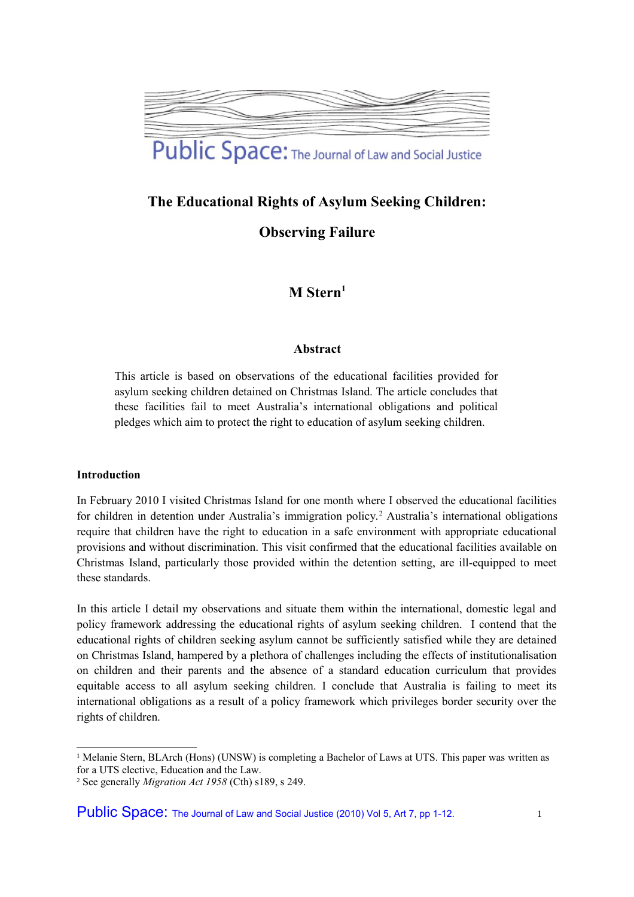

# **The Educational Rights of Asylum Seeking Children:**

**Observing Failure**

# **M Stern[1](#page-0-0)**

# **Abstract**

This article is based on observations of the educational facilities provided for asylum seeking children detained on Christmas Island. The article concludes that these facilities fail to meet Australia's international obligations and political pledges which aim to protect the right to education of asylum seeking children.

#### **Introduction**

In February 2010 I visited Christmas Island for one month where I observed the educational facilities for children in detention under Australia's immigration policy.<sup>[2](#page-0-1)</sup> Australia's international obligations require that children have the right to education in a safe environment with appropriate educational provisions and without discrimination. This visit confirmed that the educational facilities available on Christmas Island, particularly those provided within the detention setting, are ill-equipped to meet these standards.

In this article I detail my observations and situate them within the international, domestic legal and policy framework addressing the educational rights of asylum seeking children. I contend that the educational rights of children seeking asylum cannot be sufficiently satisfied while they are detained on Christmas Island, hampered by a plethora of challenges including the effects of institutionalisation on children and their parents and the absence of a standard education curriculum that provides equitable access to all asylum seeking children. I conclude that Australia is failing to meet its international obligations as a result of a policy framework which privileges border security over the rights of children.

<span id="page-0-0"></span><sup>&</sup>lt;sup>1</sup> Melanie Stern, BLArch (Hons) (UNSW) is completing a Bachelor of Laws at UTS. This paper was written as for a UTS elective, Education and the Law.

<span id="page-0-1"></span><sup>2</sup> See generally *Migration Act 1958* (Cth) s189, s 249.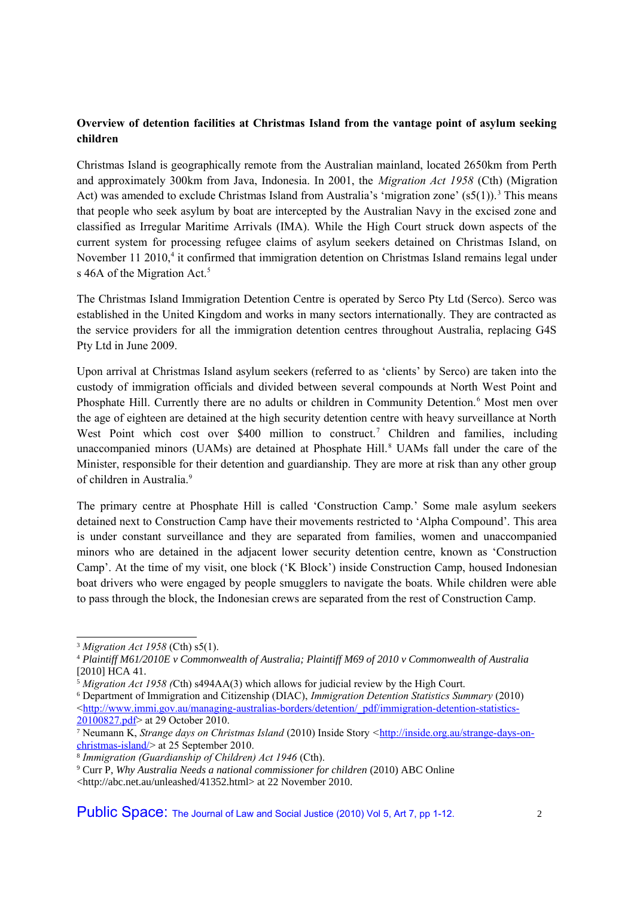# **Overview of detention facilities at Christmas Island from the vantage point of asylum seeking children**

Christmas Island is geographically remote from the Australian mainland, located 2650km from Perth and approximately 300km from Java, Indonesia. In 2001, the *Migration Act 1958* (Cth) (Migration Act) was amended to exclude Christmas Island from Australia's 'migration zone' ( $s(1)$ ).<sup>[3](#page-1-0)</sup> This means that people who seek asylum by boat are intercepted by the Australian Navy in the excised zone and classified as Irregular Maritime Arrivals (IMA). While the High Court struck down aspects of the current system for processing refugee claims of asylum seekers detained on Christmas Island, on November 11 2010,<sup>[4](#page-1-1)</sup> it confirmed that immigration detention on Christmas Island remains legal under s 46A of the Migration Act.<sup>[5](#page-1-2)</sup>

The Christmas Island Immigration Detention Centre is operated by Serco Pty Ltd (Serco). Serco was established in the United Kingdom and works in many sectors internationally. They are contracted as the service providers for all the immigration detention centres throughout Australia, replacing G4S Pty Ltd in June 2009.

Upon arrival at Christmas Island asylum seekers (referred to as 'clients' by Serco) are taken into the custody of immigration officials and divided between several compounds at North West Point and Phosphate Hill. Currently there are no adults or children in Community Detention.<sup>[6](#page-1-3)</sup> Most men over the age of eighteen are detained at the high security detention centre with heavy surveillance at North West Point which cost over \$400 million to construct.<sup>[7](#page-1-4)</sup> Children and families, including unaccompanied minors (UAMs) are detained at Phosphate Hill.<sup>[8](#page-1-5)</sup> UAMs fall under the care of the Minister, responsible for their detention and guardianship. They are more at risk than any other group of children in Australia.<sup>[9](#page-1-6)</sup>

The primary centre at Phosphate Hill is called 'Construction Camp.' Some male asylum seekers detained next to Construction Camp have their movements restricted to 'Alpha Compound'. This area is under constant surveillance and they are separated from families, women and unaccompanied minors who are detained in the adjacent lower security detention centre, known as 'Construction Camp'. At the time of my visit, one block ('K Block') inside Construction Camp, housed Indonesian boat drivers who were engaged by people smugglers to navigate the boats. While children were able to pass through the block, the Indonesian crews are separated from the rest of Construction Camp.

<span id="page-1-0"></span><sup>3</sup> *Migration Act 1958* (Cth) s5(1).

<span id="page-1-1"></span><sup>4</sup> *Plaintiff M61/2010E v Commonwealth of Australia; Plaintiff M69 of 2010 v Commonwealth of Australia* [2010] HCA 41.

<span id="page-1-2"></span><sup>5</sup> *Migration Act 1958 (*Cth) s494AA(3) which allows for judicial review by the High Court.

<span id="page-1-3"></span><sup>6</sup> Department of Immigration and Citizenship (DIAC), *Immigration Detention Statistics Summary* (2010)  $\langle$ http://www.immi.gov.au/managing-australias-borders/detention/\_pdf/immigration-detention-statistics-[20100827.pdf>](http://www.immi.gov.au/managing-australias-borders/detention/_pdf/immigration-detention-statistics-20100827.pdf) at 29 October 2010.

<span id="page-1-4"></span><sup>7</sup> Neumann K, *Strange days on Christmas Island* (2010) Inside Story *<*[http://inside.org.au/strange-days-on](http://inside.org.au/strange-days-on-christmas-island/)[christmas-island/>](http://inside.org.au/strange-days-on-christmas-island/) at 25 September 2010.

<span id="page-1-5"></span><sup>8</sup> *Immigration (Guardianship of Children) Act 1946* (Cth).

<span id="page-1-6"></span><sup>9</sup> Curr P, *Why Australia Needs a national commissioner for children* (2010) ABC Online

<sup>&</sup>lt;http://abc.net.au/unleashed/41352.html> at 22 November 2010.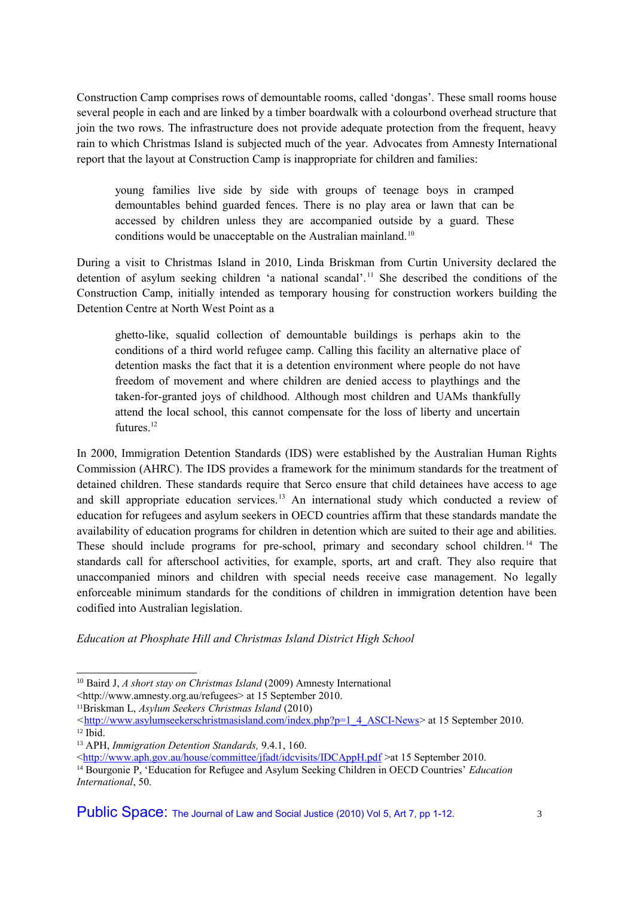Construction Camp comprises rows of demountable rooms, called 'dongas'. These small rooms house several people in each and are linked by a timber boardwalk with a colourbond overhead structure that join the two rows. The infrastructure does not provide adequate protection from the frequent, heavy rain to which Christmas Island is subjected much of the year. Advocates from Amnesty International report that the layout at Construction Camp is inappropriate for children and families:

young families live side by side with groups of teenage boys in cramped demountables behind guarded fences. There is no play area or lawn that can be accessed by children unless they are accompanied outside by a guard. These conditions would be unacceptable on the Australian mainland.<sup>[10](#page-2-0)</sup>

During a visit to Christmas Island in 2010, Linda Briskman from Curtin University declared the detention of asylum seeking children 'a national scandal'. [11](#page-2-1) She described the conditions of the Construction Camp, initially intended as temporary housing for construction workers building the Detention Centre at North West Point as a

ghetto-like, squalid collection of demountable buildings is perhaps akin to the conditions of a third world refugee camp. Calling this facility an alternative place of detention masks the fact that it is a detention environment where people do not have freedom of movement and where children are denied access to playthings and the taken-for-granted joys of childhood. Although most children and UAMs thankfully attend the local school, this cannot compensate for the loss of liberty and uncertain futures $12$ 

In 2000, Immigration Detention Standards (IDS) were established by the Australian Human Rights Commission (AHRC). The IDS provides a framework for the minimum standards for the treatment of detained children. These standards require that Serco ensure that child detainees have access to age and skill appropriate education services.<sup>[13](#page-2-3)</sup> An international study which conducted a review of education for refugees and asylum seekers in OECD countries affirm that these standards mandate the availability of education programs for children in detention which are suited to their age and abilities. These should include programs for pre-school, primary and secondary school children.<sup>[14](#page-2-4)</sup> The standards call for afterschool activities, for example, sports, art and craft. They also require that unaccompanied minors and children with special needs receive case management. No legally enforceable minimum standards for the conditions of children in immigration detention have been codified into Australian legislation.

*Education at Phosphate Hill and Christmas Island District High School* 

<span id="page-2-0"></span><sup>10</sup> Baird J, *A short stay on Christmas Island* (2009) Amnesty International

<sup>&</sup>lt;http://www.amnesty.org.au/refugees> at 15 September 2010.

<span id="page-2-1"></span><sup>11</sup>Briskman L, *Asylum Seekers Christmas Island* (2010)

<span id="page-2-2"></span>*<sup>&</sup>lt;*[http://www.asylumseekerschristmasisland.com/index.php?p=1\\_4\\_ASCI-News>](http://www.asylumseekerschristmasisland.com/index.php?p=1_4_ASCI-News) at 15 September 2010. <sup>12</sup> Ibid.

<span id="page-2-3"></span><sup>13</sup> APH, *Immigration Detention Standards,* 9.4.1, 160.

[<sup>&</sup>lt;http://www.aph.gov.au/house/committee/jfadt/idcvisits/IDCAppH.pdf](http://www.aph.gov.au/house/committee/jfadt/idcvisits/IDCAppH.pdf) >at 15 September 2010.

<span id="page-2-4"></span><sup>14</sup> Bourgonie P, 'Education for Refugee and Asylum Seeking Children in OECD Countries' *Education International*, 50.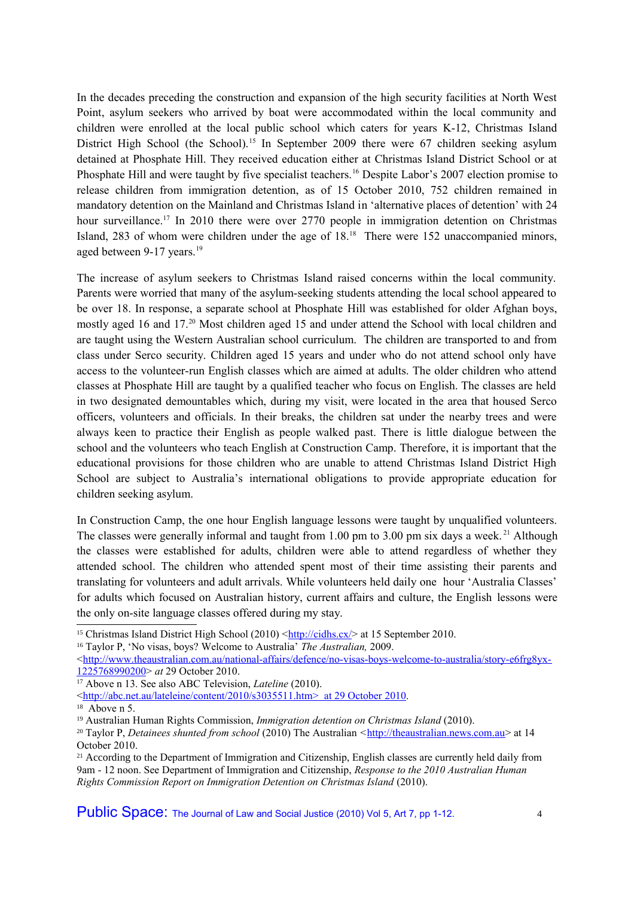In the decades preceding the construction and expansion of the high security facilities at North West Point, asylum seekers who arrived by boat were accommodated within the local community and children were enrolled at the local public school which caters for years K-12, Christmas Island District High School (the School).<sup>[15](#page-3-0)</sup> In September 2009 there were 67 children seeking asylum detained at Phosphate Hill. They received education either at Christmas Island District School or at Phosphate Hill and were taught by five specialist teachers.<sup>[16](#page-3-1)</sup> Despite Labor's 2007 election promise to release children from immigration detention, as of 15 October 2010, 752 children remained in mandatory detention on the Mainland and Christmas Island in 'alternative places of detention' with 24 hour surveillance.<sup>[17](#page-3-2)</sup> In 2010 there were over 2770 people in immigration detention on Christmas Island, 283 of whom were children under the age of 18.[18](#page-3-3) There were 152 unaccompanied minors, aged between 9-17 years.<sup>[19](#page-3-4)</sup>

The increase of asylum seekers to Christmas Island raised concerns within the local community. Parents were worried that many of the asylum-seeking students attending the local school appeared to be over 18. In response, a separate school at Phosphate Hill was established for older Afghan boys, mostly aged 16 and 17.[20](#page-3-5) Most children aged 15 and under attend the School with local children and are taught using the Western Australian school curriculum. The children are transported to and from class under Serco security. Children aged 15 years and under who do not attend school only have access to the volunteer-run English classes which are aimed at adults. The older children who attend classes at Phosphate Hill are taught by a qualified teacher who focus on English. The classes are held in two designated demountables which, during my visit, were located in the area that housed Serco officers, volunteers and officials. In their breaks, the children sat under the nearby trees and were always keen to practice their English as people walked past. There is little dialogue between the school and the volunteers who teach English at Construction Camp. Therefore, it is important that the educational provisions for those children who are unable to attend Christmas Island District High School are subject to Australia's international obligations to provide appropriate education for children seeking asylum.

In Construction Camp, the one hour English language lessons were taught by unqualified volunteers. The classes were generally informal and taught from 1.00 pm to 3.00 pm six days a week.<sup>[21](#page-3-6)</sup> Although the classes were established for adults, children were able to attend regardless of whether they attended school. The children who attended spent most of their time assisting their parents and translating for volunteers and adult arrivals. While volunteers held daily one hour 'Australia Classes' for adults which focused on Australian history, current affairs and culture, the English lessons were the only on-site language classes offered during my stay.

<span id="page-3-1"></span><sup>16</sup> Taylor P, 'No visas, boys? Welcome to Australia' *The Australian,* 2009.

 $\langle$ http://www.theaustralian.com.au/national-affairs/defence/no-visas-boys-welcome-to-australia/story-e6frg8yx-[1225768990200>](http://www.theaustralian.com.au/national-affairs/defence/no-visas-boys-welcome-to-australia/story-e6frg8yx-1225768990200) *at* 29 October 2010.

<span id="page-3-0"></span><sup>&</sup>lt;sup>15</sup> Christmas Island District High School (2010)  $\frac{\text{http://cidhs.cx}}{\text{http://cidhs.cx/}}$  at 15 September 2010.

<span id="page-3-2"></span><sup>17</sup> Above n 13. See also ABC Television, *Lateline* (2010).

[<sup>&</sup>lt; http://abc.net.au/lateleine/content/2010/s3035511.htm> at 29 October 2010.](http://abc.net.au/lateleine/content/2010/s3035511.htm%3E%20%20at%2029%20October%202010)

<span id="page-3-3"></span><sup>18</sup> Above n 5.

<span id="page-3-4"></span><sup>19</sup> Australian Human Rights Commission, *Immigration detention on Christmas Island* (2010).

<span id="page-3-5"></span><sup>20</sup> Taylor P, *Detainees shunted from school* (2010) The Australian *<*[http://theaustralian.news.com.au>](http://theaustralian.news.com.au/) at 14 October 2010.

<span id="page-3-6"></span><sup>&</sup>lt;sup>21</sup> According to the Department of Immigration and Citizenship, English classes are currently held daily from 9am - 12 noon. See Department of Immigration and Citizenship, *Response to the 2010 Australian Human Rights Commission Report on Immigration Detention on Christmas Island* (2010).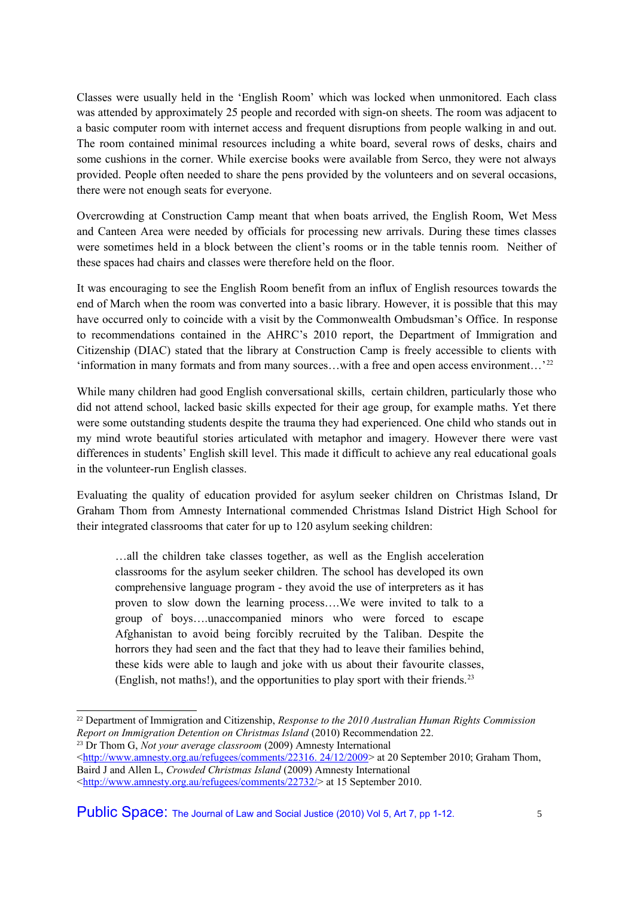Classes were usually held in the 'English Room' which was locked when unmonitored. Each class was attended by approximately 25 people and recorded with sign-on sheets. The room was adjacent to a basic computer room with internet access and frequent disruptions from people walking in and out. The room contained minimal resources including a white board, several rows of desks, chairs and some cushions in the corner. While exercise books were available from Serco, they were not always provided. People often needed to share the pens provided by the volunteers and on several occasions, there were not enough seats for everyone.

Overcrowding at Construction Camp meant that when boats arrived, the English Room, Wet Mess and Canteen Area were needed by officials for processing new arrivals. During these times classes were sometimes held in a block between the client's rooms or in the table tennis room. Neither of these spaces had chairs and classes were therefore held on the floor.

It was encouraging to see the English Room benefit from an influx of English resources towards the end of March when the room was converted into a basic library. However, it is possible that this may have occurred only to coincide with a visit by the Commonwealth Ombudsman's Office. In response to recommendations contained in the AHRC's 2010 report, the Department of Immigration and Citizenship (DIAC) stated that the library at Construction Camp is freely accessible to clients with 'information in many formats and from many sources...with a free and open access environment...'<sup>[22](#page-4-0)</sup>

While many children had good English conversational skills, certain children, particularly those who did not attend school, lacked basic skills expected for their age group, for example maths. Yet there were some outstanding students despite the trauma they had experienced. One child who stands out in my mind wrote beautiful stories articulated with metaphor and imagery. However there were vast differences in students' English skill level. This made it difficult to achieve any real educational goals in the volunteer-run English classes.

Evaluating the quality of education provided for asylum seeker children on Christmas Island, Dr Graham Thom from Amnesty International commended Christmas Island District High School for their integrated classrooms that cater for up to 120 asylum seeking children:

…all the children take classes together, as well as the English acceleration classrooms for the asylum seeker children. The school has developed its own comprehensive language program - they avoid the use of interpreters as it has proven to slow down the learning process….We were invited to talk to a group of boys….unaccompanied minors who were forced to escape Afghanistan to avoid being forcibly recruited by the Taliban. Despite the horrors they had seen and the fact that they had to leave their families behind, these kids were able to laugh and joke with us about their favourite classes, (English, not maths!), and the opportunities to play sport with their friends.[23](#page-4-1)

Public Space: The Journal of Law and Social Justice (2010) Vol 5, Art 7, pp 1-12.  $\frac{5}{5}$ 

<span id="page-4-0"></span><sup>22</sup> Department of Immigration and Citizenship, *Response to the 2010 Australian Human Rights Commission Report on Immigration Detention on Christmas Island* (2010) Recommendation 22.

<span id="page-4-1"></span><sup>23</sup> Dr Thom G, *Not your average classroom* (2009) Amnesty International

 $\leq$ http://www.amnesty.org.au/refugees/comments/22316. 24/12/2009> at 20 September 2010; Graham Thom, Baird J and Allen L, *Crowded Christmas Island* (2009) Amnesty International

[<sup>&</sup>lt;http://www.amnesty.org.au/refugees/comments/22732/>](http://www.amnesty.org.au/refugees/comments/22732/) at 15 September 2010.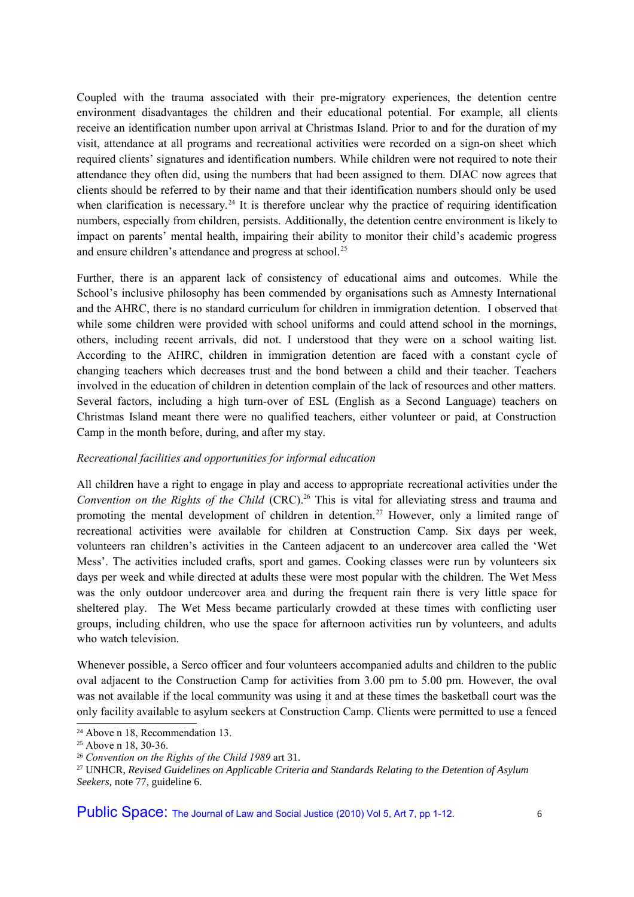Coupled with the trauma associated with their pre-migratory experiences, the detention centre environment disadvantages the children and their educational potential. For example, all clients receive an identification number upon arrival at Christmas Island. Prior to and for the duration of my visit, attendance at all programs and recreational activities were recorded on a sign-on sheet which required clients' signatures and identification numbers. While children were not required to note their attendance they often did, using the numbers that had been assigned to them. DIAC now agrees that clients should be referred to by their name and that their identification numbers should only be used when clarification is necessary.<sup>[24](#page-5-0)</sup> It is therefore unclear why the practice of requiring identification numbers, especially from children, persists. Additionally, the detention centre environment is likely to impact on parents' mental health, impairing their ability to monitor their child's academic progress and ensure children's attendance and progress at school.<sup>[25](#page-5-1)</sup>

Further, there is an apparent lack of consistency of educational aims and outcomes. While the School's inclusive philosophy has been commended by organisations such as Amnesty International and the AHRC, there is no standard curriculum for children in immigration detention. I observed that while some children were provided with school uniforms and could attend school in the mornings, others, including recent arrivals, did not. I understood that they were on a school waiting list. According to the AHRC, children in immigration detention are faced with a constant cycle of changing teachers which decreases trust and the bond between a child and their teacher. Teachers involved in the education of children in detention complain of the lack of resources and other matters. Several factors, including a high turn-over of ESL (English as a Second Language) teachers on Christmas Island meant there were no qualified teachers, either volunteer or paid, at Construction Camp in the month before, during, and after my stay.

# *Recreational facilities and opportunities for informal education*

All children have a right to engage in play and access to appropriate recreational activities under the *Convention on the Rights of the Child* (CRC).<sup>[26](#page-5-2)</sup> This is vital for alleviating stress and trauma and promoting the mental development of children in detention.<sup>[27](#page-5-3)</sup> However, only a limited range of recreational activities were available for children at Construction Camp. Six days per week, volunteers ran children's activities in the Canteen adjacent to an undercover area called the 'Wet Mess'. The activities included crafts, sport and games. Cooking classes were run by volunteers six days per week and while directed at adults these were most popular with the children. The Wet Mess was the only outdoor undercover area and during the frequent rain there is very little space for sheltered play. The Wet Mess became particularly crowded at these times with conflicting user groups, including children, who use the space for afternoon activities run by volunteers, and adults who watch television.

Whenever possible, a Serco officer and four volunteers accompanied adults and children to the public oval adjacent to the Construction Camp for activities from 3.00 pm to 5.00 pm. However, the oval was not available if the local community was using it and at these times the basketball court was the only facility available to asylum seekers at Construction Camp. Clients were permitted to use a fenced

Public Space: The Journal of Law and Social Justice (2010) Vol 5, Art 7, pp 1-12.

<span id="page-5-0"></span><sup>24</sup> Above n 18, Recommendation 13.

<span id="page-5-1"></span><sup>25</sup> Above n 18, 30-36.

<span id="page-5-2"></span><sup>26</sup> *Convention on the Rights of the Child 1989* art 31.

<span id="page-5-3"></span><sup>27</sup> UNHCR, *Revised Guidelines on Applicable Criteria and Standards Relating to the Detention of Asylum Seekers,* note 77, guideline 6.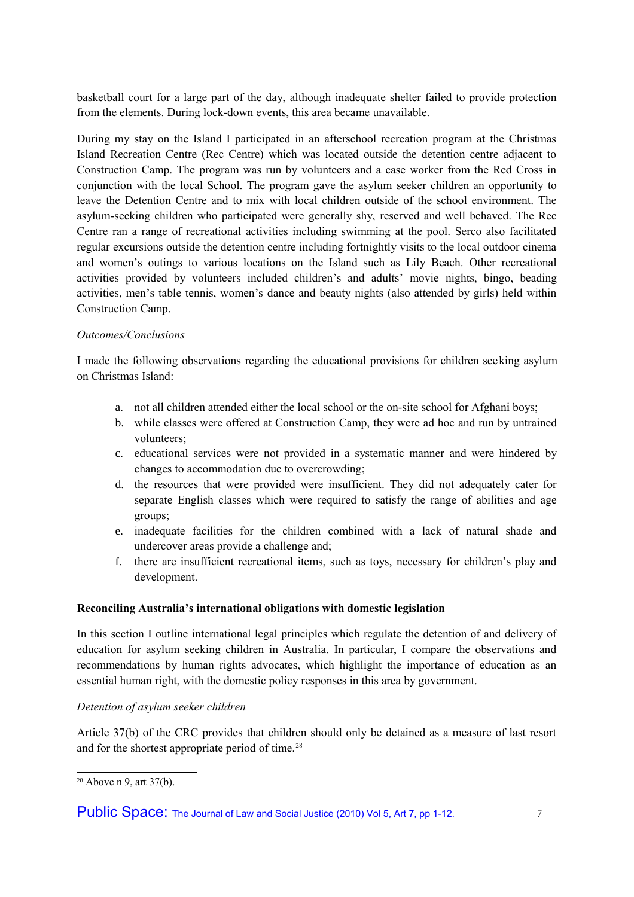basketball court for a large part of the day, although inadequate shelter failed to provide protection from the elements. During lock-down events, this area became unavailable.

During my stay on the Island I participated in an afterschool recreation program at the Christmas Island Recreation Centre (Rec Centre) which was located outside the detention centre adjacent to Construction Camp. The program was run by volunteers and a case worker from the Red Cross in conjunction with the local School. The program gave the asylum seeker children an opportunity to leave the Detention Centre and to mix with local children outside of the school environment. The asylum-seeking children who participated were generally shy, reserved and well behaved. The Rec Centre ran a range of recreational activities including swimming at the pool. Serco also facilitated regular excursions outside the detention centre including fortnightly visits to the local outdoor cinema and women's outings to various locations on the Island such as Lily Beach. Other recreational activities provided by volunteers included children's and adults' movie nights, bingo, beading activities, men's table tennis, women's dance and beauty nights (also attended by girls) held within Construction Camp.

# *Outcomes/Conclusions*

I made the following observations regarding the educational provisions for children seeking asylum on Christmas Island:

- a. not all children attended either the local school or the on-site school for Afghani boys;
- b. while classes were offered at Construction Camp, they were ad hoc and run by untrained volunteers;
- c. educational services were not provided in a systematic manner and were hindered by changes to accommodation due to overcrowding;
- d. the resources that were provided were insufficient. They did not adequately cater for separate English classes which were required to satisfy the range of abilities and age groups;
- e. inadequate facilities for the children combined with a lack of natural shade and undercover areas provide a challenge and;
- f. there are insufficient recreational items, such as toys, necessary for children's play and development.

#### **Reconciling Australia's international obligations with domestic legislation**

In this section I outline international legal principles which regulate the detention of and delivery of education for asylum seeking children in Australia. In particular, I compare the observations and recommendations by human rights advocates, which highlight the importance of education as an essential human right, with the domestic policy responses in this area by government.

#### *Detention of asylum seeker children*

Article 37(b) of the CRC provides that children should only be detained as a measure of last resort and for the shortest appropriate period of time.<sup>[28](#page-6-0)</sup>

<span id="page-6-0"></span><sup>28</sup> Above n 9, art 37(b).

Public Space: The Journal of Law and Social Justice (2010) Vol 5, Art 7, pp 1-12.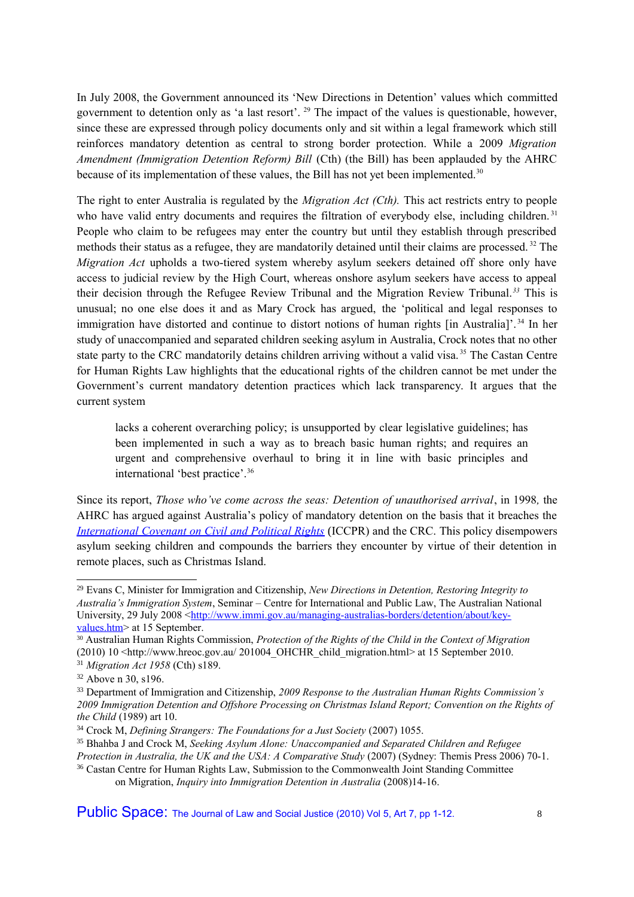In July 2008, the Government announced its 'New Directions in Detention' values which committed government to detention only as 'a last resort'. [29](#page-7-0) The impact of the values is questionable, however, since these are expressed through policy documents only and sit within a legal framework which still reinforces mandatory detention as central to strong border protection. While a 2009 *Migration Amendment (Immigration Detention Reform) Bill* (Cth) (the Bill) has been applauded by the AHRC because of its implementation of these values, the Bill has not yet been implemented.<sup>[30](#page-7-1)</sup>

The right to enter Australia is regulated by the *Migration Act (Cth).* This act restricts entry to people who have valid entry documents and requires the filtration of everybody else, including children.<sup>[31](#page-7-2)</sup> People who claim to be refugees may enter the country but until they establish through prescribed methods their status as a refugee, they are mandatorily detained until their claims are processed. [32](#page-7-3) The *Migration Act* upholds a two-tiered system whereby asylum seekers detained off shore only have access to judicial review by the High Court, whereas onshore asylum seekers have access to appeal their decision through the Refugee Review Tribunal and the Migration Review Tribunal.*[33](#page-7-4)* This is unusual; no one else does it and as Mary Crock has argued, the 'political and legal responses to immigration have distorted and continue to distort notions of human rights [in Australia]'. [34](#page-7-5) In her study of unaccompanied and separated children seeking asylum in Australia, Crock notes that no other state party to the CRC mandatorily detains children arriving without a valid visa.<sup>[35](#page-7-6)</sup> The Castan Centre for Human Rights Law highlights that the educational rights of the children cannot be met under the Government's current mandatory detention practices which lack transparency. It argues that the current system

lacks a coherent overarching policy; is unsupported by clear legislative guidelines; has been implemented in such a way as to breach basic human rights; and requires an urgent and comprehensive overhaul to bring it in line with basic principles and international 'best practice'.[36](#page-7-7)

Since its report, *Those who've come across the seas: Detention of unauthorised arrival*, in 1998*,* the AHRC has argued against Australia's policy of mandatory detention on the basis that it breaches the *[International Covenant on Civil and Political Rights](http://www2.ohchr.org/english/law/ccpr.htm)* (ICCPR) and the CRC. This policy disempowers asylum seeking children and compounds the barriers they encounter by virtue of their detention in remote places, such as Christmas Island.

Public Space: The Journal of Law and Social Justice (2010) Vol 5, Art 7, pp 1-12.  $\qquad \qquad 8$ 

<span id="page-7-0"></span><sup>29</sup> Evans C, Minister for Immigration and Citizenship, *New Directions in Detention, Restoring Integrity to Australia's Immigration System*, Seminar – Centre for International and Public Law, The Australian National University, 29 July 2008 [<http://www.immi.gov.au/managing-australias-borders/detention/about/key](http://www.immi.gov.au/managing-australias-borders/detention/about/key-values.htm)[values.htm>](http://www.immi.gov.au/managing-australias-borders/detention/about/key-values.htm) at 15 September.

<span id="page-7-1"></span><sup>30</sup> Australian Human Rights Commission, *Protection of the Rights of the Child in the Context of Migration* (2010) 10 <http://www.hreoc.gov.au/ 201004\_OHCHR\_child\_migration.html> at 15 September 2010. <sup>31</sup> *Migration Act 1958* (Cth) s189.

<span id="page-7-3"></span><span id="page-7-2"></span><sup>32</sup> Above n 30, s196.

<span id="page-7-4"></span><sup>33</sup> Department of Immigration and Citizenship, *2009 Response to the Australian Human Rights Commission's 2009 Immigration Detention and Offshore Processing on Christmas Island Report; Convention on the Rights of the Child* (1989) art 10.

<span id="page-7-5"></span><sup>34</sup> Crock M, *Defining Strangers: The Foundations for a Just Society* (2007) 1055.

<span id="page-7-6"></span><sup>35</sup> Bhahba J and Crock M, *Seeking Asylum Alone: Unaccompanied and Separated Children and Refugee Protection in Australia, the UK and the USA: A Comparative Study (2007) (Sydney: Themis Press 2006) 70-1.* 

<span id="page-7-7"></span><sup>&</sup>lt;sup>36</sup> Castan Centre for Human Rights Law, Submission to the Commonwealth Joint Standing Committee on Migration, *Inquiry into Immigration Detention in Australia* (2008)14-16.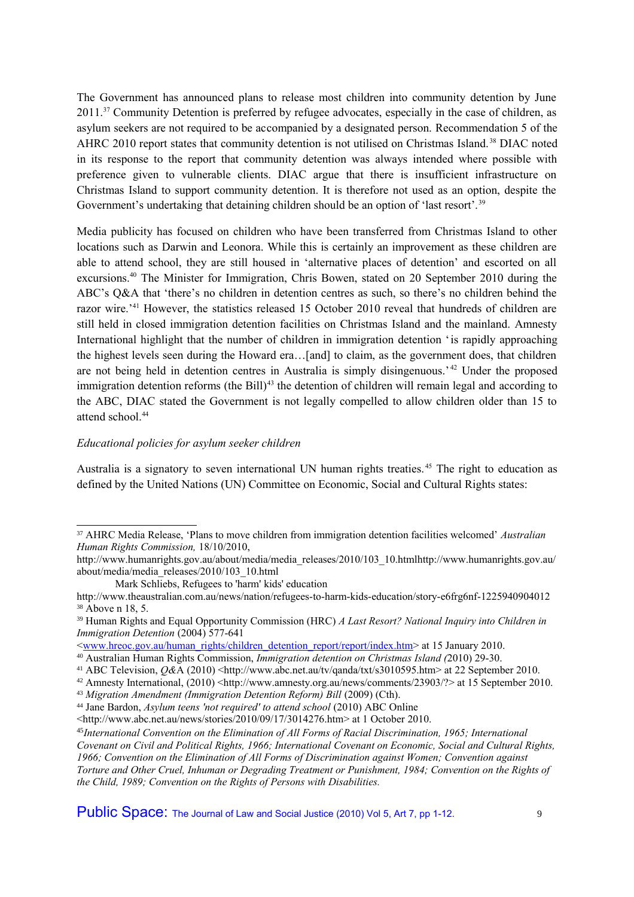The Government has announced plans to release most children into community detention by June 2011.<sup>[37](#page-8-0)</sup> Community Detention is preferred by refugee advocates, especially in the case of children, as asylum seekers are not required to be accompanied by a designated person. Recommendation 5 of the AHRC 2010 report states that community detention is not utilised on Christmas Island.<sup>[38](#page-8-1)</sup> DIAC noted in its response to the report that community detention was always intended where possible with preference given to vulnerable clients. DIAC argue that there is insufficient infrastructure on Christmas Island to support community detention. It is therefore not used as an option, despite the Government's undertaking that detaining children should be an option of 'last resort'.<sup>[39](#page-8-2)</sup>

Media publicity has focused on children who have been transferred from Christmas Island to other locations such as Darwin and Leonora. While this is certainly an improvement as these children are able to attend school, they are still housed in 'alternative places of detention' and escorted on all excursions.<sup>[40](#page-8-3)</sup> The Minister for Immigration, Chris Bowen, stated on 20 September 2010 during the ABC's Q&A that 'there's no children in detention centres as such, so there's no children behind the razor wire.<sup>'[41](#page-8-4)</sup> However, the statistics released 15 October 2010 reveal that hundreds of children are still held in closed immigration detention facilities on Christmas Island and the mainland. Amnesty International highlight that the number of children in immigration detention 'is rapidly approaching the highest levels seen during the Howard era…[and] to claim, as the government does, that children are not being held in detention centres in Australia is simply disingenuous.' [42](#page-8-5) Under the proposed immigration detention reforms (the Bill)<sup>[43](#page-8-6)</sup> the detention of children will remain legal and according to the ABC, DIAC stated the Government is not legally compelled to allow children older than 15 to attend school.<sup>[44](#page-8-7)</sup>

#### *Educational policies for asylum seeker children*

Australia is a signatory to seven international UN human rights treaties.<sup>[45](#page-8-8)</sup> The right to education as defined by the United Nations (UN) Committee on Economic, Social and Cultural Rights states:

<span id="page-8-6"></span><sup>43</sup> *Migration Amendment (Immigration Detention Reform) Bill (2009) (Cth).* 

<span id="page-8-7"></span><sup>44</sup> Jane Bardon, *Asylum teens 'not required' to attend school* (2010) ABC Online

Public Space: The Journal of Law and Social Justice (2010) Vol 5, Art 7, pp 1-12.

<span id="page-8-0"></span><sup>37</sup> AHRC Media Release, 'Plans to move children from immigration detention facilities welcomed' *Australian Human Rights Commission,* 18/10/2010,

http://www.humanrights.gov.au/about/media/media\_releases/2010/103\_10.htmlhttp://www.humanrights.gov.au/ about/media/media\_releases/2010/103\_10.html

Mark Schliebs, Refugees to 'harm' kids' education

<span id="page-8-1"></span>http://www.theaustralian.com.au/news/nation/refugees-to-harm-kids-education/story-e6frg6nf-1225940904012 <sup>38</sup> Above n 18, 5.

<span id="page-8-2"></span><sup>39</sup> Human Rights and Equal Opportunity Commission (HRC) *A Last Resort? National Inquiry into Children in Immigration Detention* (2004) 577-641

[<sup>&</sup>lt;www.hreoc.gov.au/human\\_rights/children\\_detention\\_report/report/index.htm>](http://www.hreoc.gov.au/human_rights/children_detention_report/report/index.htm) at 15 January 2010.

<span id="page-8-3"></span><sup>40</sup> Australian Human Rights Commission, *Immigration detention on Christmas Island (*2010) 29-30.

<span id="page-8-4"></span><sup>41</sup> ABC Television, *Q&*A (2010) <http://www.abc.net.au/tv/qanda/txt/s3010595.htm> at 22 September 2010.

<span id="page-8-5"></span><sup>42</sup> Amnesty International, (2010) <http://www.amnesty.org.au/news/comments/23903/?> at 15 September 2010.

<sup>&</sup>lt;http://www.abc.net.au/news/stories/2010/09/17/3014276.htm> at 1 October 2010.

<span id="page-8-8"></span><sup>45</sup>*International Convention on the Elimination of All Forms of Racial Discrimination, 1965; International Covenant on Civil and Political Rights, 1966; International Covenant on Economic, Social and Cultural Rights, 1966; Convention on the Elimination of All Forms of Discrimination against Women; Convention against Torture and Other Cruel, Inhuman or Degrading Treatment or Punishment, 1984; Convention on the Rights of the Child, 1989; Convention on the Rights of Persons with Disabilities.*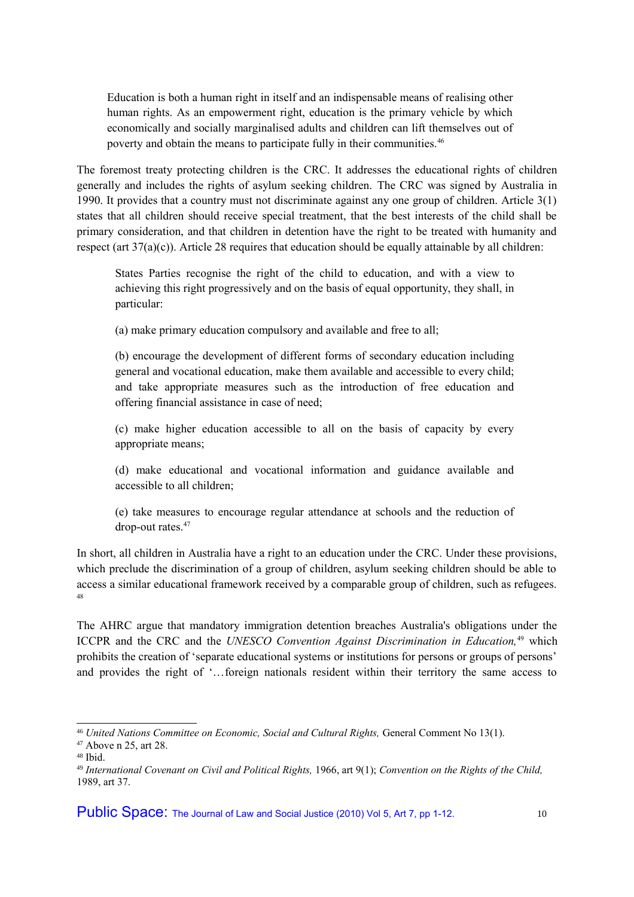Education is both a human right in itself and an indispensable means of realising other human rights. As an empowerment right, education is the primary vehicle by which economically and socially marginalised adults and children can lift themselves out of poverty and obtain the means to participate fully in their communities.[46](#page-9-0)

The foremost treaty protecting children is the CRC. It addresses the educational rights of children generally and includes the rights of asylum seeking children. The CRC was signed by Australia in 1990. It provides that a country must not discriminate against any one group of children. Article 3(1) states that all children should receive special treatment, that the best interests of the child shall be primary consideration, and that children in detention have the right to be treated with humanity and respect (art  $37(a)(c)$ ). Article 28 requires that education should be equally attainable by all children:

States Parties recognise the right of the child to education, and with a view to achieving this right progressively and on the basis of equal opportunity, they shall, in particular:

(a) make primary education compulsory and available and free to all;

(b) encourage the development of different forms of secondary education including general and vocational education, make them available and accessible to every child; and take appropriate measures such as the introduction of free education and offering financial assistance in case of need;

(c) make higher education accessible to all on the basis of capacity by every appropriate means;

(d) make educational and vocational information and guidance available and accessible to all children;

(e) take measures to encourage regular attendance at schools and the reduction of drop-out rates.<sup>[47](#page-9-1)</sup>

In short, all children in Australia have a right to an education under the CRC. Under these provisions, which preclude the discrimination of a group of children, asylum seeking children should be able to access a similar educational framework received by a comparable group of children, such as refugees. [48](#page-9-2)

The AHRC argue that mandatory immigration detention breaches Australia's obligations under the ICCPR and the CRC and the *UNESCO Convention Against Discrimination in Education,*[49](#page-9-2) which prohibits the creation of 'separate educational systems or institutions for persons or groups of persons' and provides the right of '…foreign nationals resident within their territory the same access to

<span id="page-9-0"></span><sup>46</sup> *United Nations Committee on Economic, Social and Cultural Rights,* General Comment No 13(1).

<span id="page-9-1"></span><sup>47</sup> Above n 25, art 28.

<span id="page-9-2"></span><sup>48</sup> Ibid.

<sup>49</sup> *International Covenant on Civil and Political Rights,* 1966, art 9(1); *Convention on the Rights of the Child,* 1989, art 37.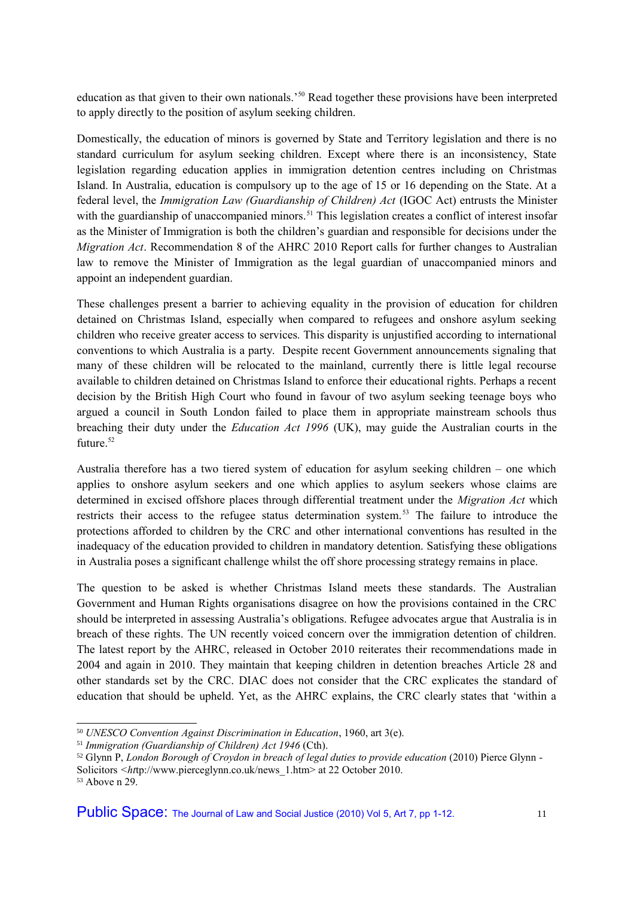education as that given to their own nationals.'[50](#page-10-0) Read together these provisions have been interpreted to apply directly to the position of asylum seeking children.

Domestically, the education of minors is governed by State and Territory legislation and there is no standard curriculum for asylum seeking children. Except where there is an inconsistency, State legislation regarding education applies in immigration detention centres including on Christmas Island. In Australia, education is compulsory up to the age of 15 or 16 depending on the State. At a federal level, the *Immigration Law (Guardianship of Children) Act* (IGOC Act) entrusts the Minister with the guardianship of unaccompanied minors.<sup>[51](#page-10-1)</sup> This legislation creates a conflict of interest insofar as the Minister of Immigration is both the children's guardian and responsible for decisions under the *Migration Act*. Recommendation 8 of the AHRC 2010 Report calls for further changes to Australian law to remove the Minister of Immigration as the legal guardian of unaccompanied minors and appoint an independent guardian.

These challenges present a barrier to achieving equality in the provision of education for children detained on Christmas Island, especially when compared to refugees and onshore asylum seeking children who receive greater access to services. This disparity is unjustified according to international conventions to which Australia is a party. Despite recent Government announcements signaling that many of these children will be relocated to the mainland, currently there is little legal recourse available to children detained on Christmas Island to enforce their educational rights. Perhaps a recent decision by the British High Court who found in favour of two asylum seeking teenage boys who argued a council in South London failed to place them in appropriate mainstream schools thus breaching their duty under the *Education Act 1996* (UK), may guide the Australian courts in the future. [52](#page-10-2)

Australia therefore has a two tiered system of education for asylum seeking children – one which applies to onshore asylum seekers and one which applies to asylum seekers whose claims are determined in excised offshore places through differential treatment under the *Migration Act* which restricts their access to the refugee status determination system.[53](#page-10-3) The failure to introduce the protections afforded to children by the CRC and other international conventions has resulted in the inadequacy of the education provided to children in mandatory detention. Satisfying these obligations in Australia poses a significant challenge whilst the off shore processing strategy remains in place.

The question to be asked is whether Christmas Island meets these standards. The Australian Government and Human Rights organisations disagree on how the provisions contained in the CRC should be interpreted in assessing Australia's obligations. Refugee advocates argue that Australia is in breach of these rights. The UN recently voiced concern over the immigration detention of children. The latest report by the AHRC, released in October 2010 reiterates their recommendations made in 2004 and again in 2010. They maintain that keeping children in detention breaches Article 28 and other standards set by the CRC. DIAC does not consider that the CRC explicates the standard of education that should be upheld. Yet, as the AHRC explains, the CRC clearly states that 'within a

<span id="page-10-0"></span><sup>50</sup> *UNESCO Convention Against Discrimination in Education*, 1960, art 3(e).

<span id="page-10-1"></span><sup>51</sup> *Immigration (Guardianship of Children) Act 1946* (Cth).

<span id="page-10-2"></span><sup>&</sup>lt;sup>52</sup> Glynn P, *London Borough of Croydon in breach of legal duties to provide education* (2010) Pierce Glynn -

Solicitors *<ht*tp://www.pierceglynn.co.uk/news\_1.htm> at 22 October 2010.

<span id="page-10-3"></span><sup>53</sup> Above n 29.